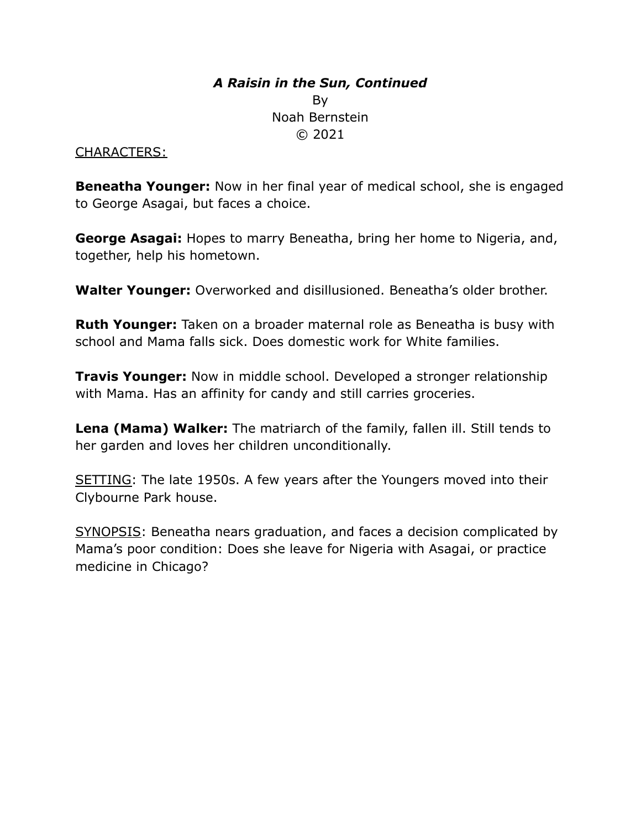# *A Raisin in the Sun, Continued* By Noah Bernstein © 2021

### CHARACTERS:

**Beneatha Younger:** Now in her final year of medical school, she is engaged to George Asagai, but faces a choice.

**George Asagai:** Hopes to marry Beneatha, bring her home to Nigeria, and, together, help his hometown.

**Walter Younger:** Overworked and disillusioned. Beneatha's older brother.

**Ruth Younger:** Taken on a broader maternal role as Beneatha is busy with school and Mama falls sick. Does domestic work for White families.

**Travis Younger:** Now in middle school. Developed a stronger relationship with Mama. Has an affinity for candy and still carries groceries.

**Lena (Mama) Walker:** The matriarch of the family, fallen ill. Still tends to her garden and loves her children unconditionally.

SETTING: The late 1950s. A few years after the Youngers moved into their Clybourne Park house.

SYNOPSIS: Beneatha nears graduation, and faces a decision complicated by Mama's poor condition: Does she leave for Nigeria with Asagai, or practice medicine in Chicago?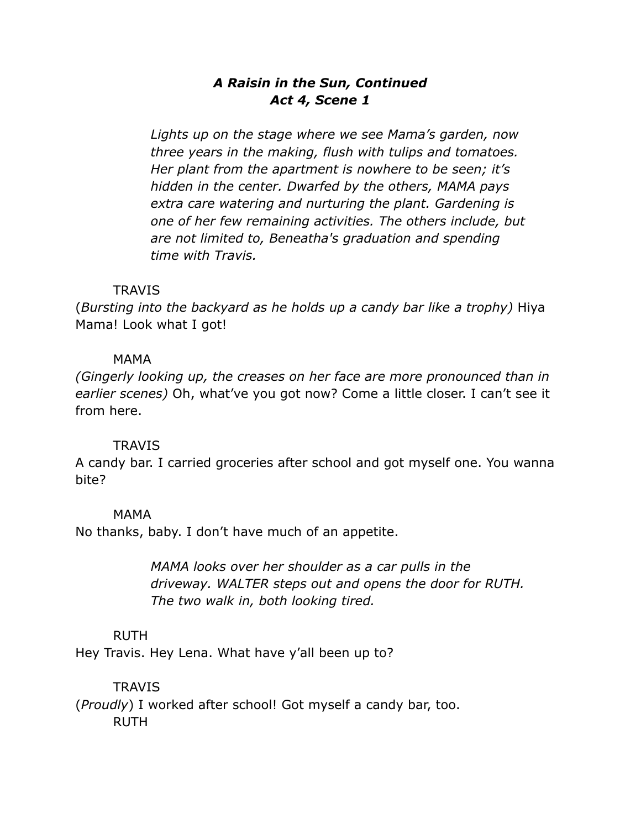## *A Raisin in the Sun, Continued Act 4, Scene 1*

*Lights up on the stage where we see Mama's garden, now three years in the making, flush with tulips and tomatoes. Her plant from the apartment is nowhere to be seen; it's hidden in the center. Dwarfed by the others, MAMA pays extra care watering and nurturing the plant. Gardening is one of her few remaining activities. The others include, but are not limited to, Beneatha's graduation and spending time with Travis.*

### **TRAVIS**

(*Bursting into the backyard as he holds up a candy bar like a trophy)* Hiya Mama! Look what I got!

### MAMA

*(Gingerly looking up, the creases on her face are more pronounced than in earlier scenes)* Oh, what've you got now? Come a little closer. I can't see it from here.

### **TRAVIS**

A candy bar. I carried groceries after school and got myself one. You wanna bite?

### MAMA

No thanks, baby. I don't have much of an appetite.

*MAMA looks over her shoulder as a car pulls in the driveway. WALTER steps out and opens the door for RUTH. The two walk in, both looking tired.*

### RUTH

Hey Travis. Hey Lena. What have y'all been up to?

### **TRAVIS**

(*Proudly*) I worked after school! Got myself a candy bar, too. RUTH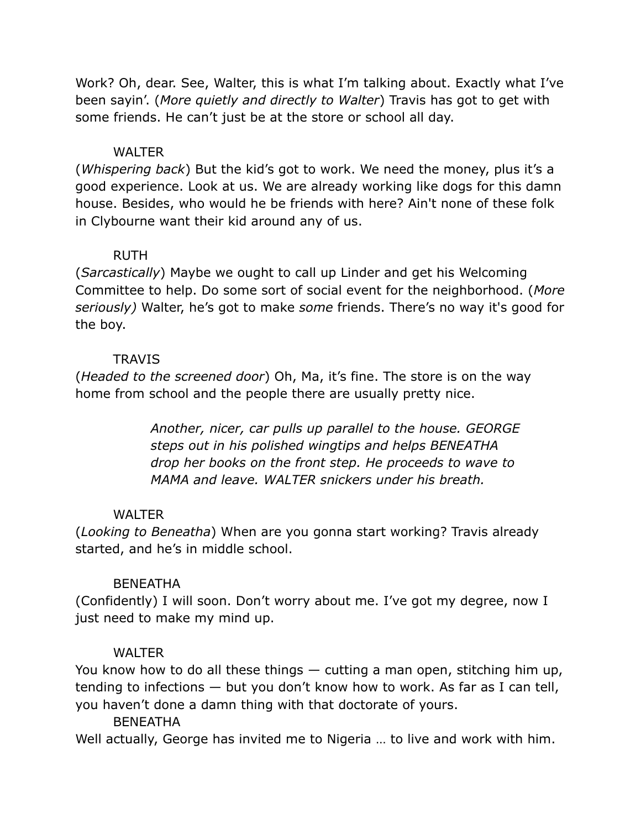Work? Oh, dear. See, Walter, this is what I'm talking about. Exactly what I've been sayin'. (*More quietly and directly to Walter*) Travis has got to get with some friends. He can't just be at the store or school all day.

## **WALTER**

(*Whispering back*) But the kid's got to work. We need the money, plus it's a good experience. Look at us. We are already working like dogs for this damn house. Besides, who would he be friends with here? Ain't none of these folk in Clybourne want their kid around any of us.

### RUTH

(*Sarcastically*) Maybe we ought to call up Linder and get his Welcoming Committee to help. Do some sort of social event for the neighborhood. (*More seriously)* Walter, he's got to make *some* friends. There's no way it's good for the boy.

### **TRAVIS**

(*Headed to the screened door*) Oh, Ma, it's fine. The store is on the way home from school and the people there are usually pretty nice.

> *Another, nicer, car pulls up parallel to the house. GEORGE steps out in his polished wingtips and helps BENEATHA drop her books on the front step. He proceeds to wave to MAMA and leave. WALTER snickers under his breath.*

## **WALTER**

(*Looking to Beneatha*) When are you gonna start working? Travis already started, and he's in middle school.

## **BENEATHA**

(Confidently) I will soon. Don't worry about me. I've got my degree, now I just need to make my mind up.

## **WALTER**

You know how to do all these things — cutting a man open, stitching him up, tending to infections — but you don't know how to work. As far as I can tell, you haven't done a damn thing with that doctorate of yours.

## **BENEATHA**

Well actually, George has invited me to Nigeria … to live and work with him.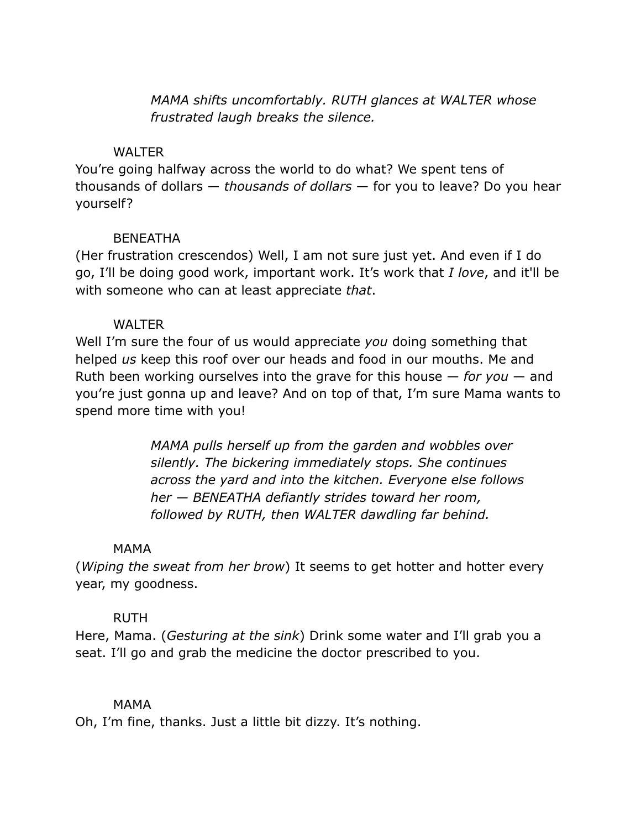*MAMA shifts uncomfortably. RUTH glances at WALTER whose frustrated laugh breaks the silence.*

### **WALTER**

You're going halfway across the world to do what? We spent tens of thousands of dollars — *thousands of dollars* — for you to leave? Do you hear yourself?

### **BENFATHA**

(Her frustration crescendos) Well, I am not sure just yet. And even if I do go, I'll be doing good work, important work. It's work that *I love*, and it'll be with someone who can at least appreciate *that*.

### **WALTER**

Well I'm sure the four of us would appreciate *you* doing something that helped *us* keep this roof over our heads and food in our mouths. Me and Ruth been working ourselves into the grave for this house — *for you* — and you're just gonna up and leave? And on top of that, I'm sure Mama wants to spend more time with you!

> *MAMA pulls herself up from the garden and wobbles over silently. The bickering immediately stops. She continues across the yard and into the kitchen. Everyone else follows her — BENEATHA defiantly strides toward her room, followed by RUTH, then WALTER dawdling far behind.*

## MAMA

(*Wiping the sweat from her brow*) It seems to get hotter and hotter every year, my goodness.

## RUTH

Here, Mama. (*Gesturing at the sink*) Drink some water and I'll grab you a seat. I'll go and grab the medicine the doctor prescribed to you.

## MAMA

Oh, I'm fine, thanks. Just a little bit dizzy. It's nothing.